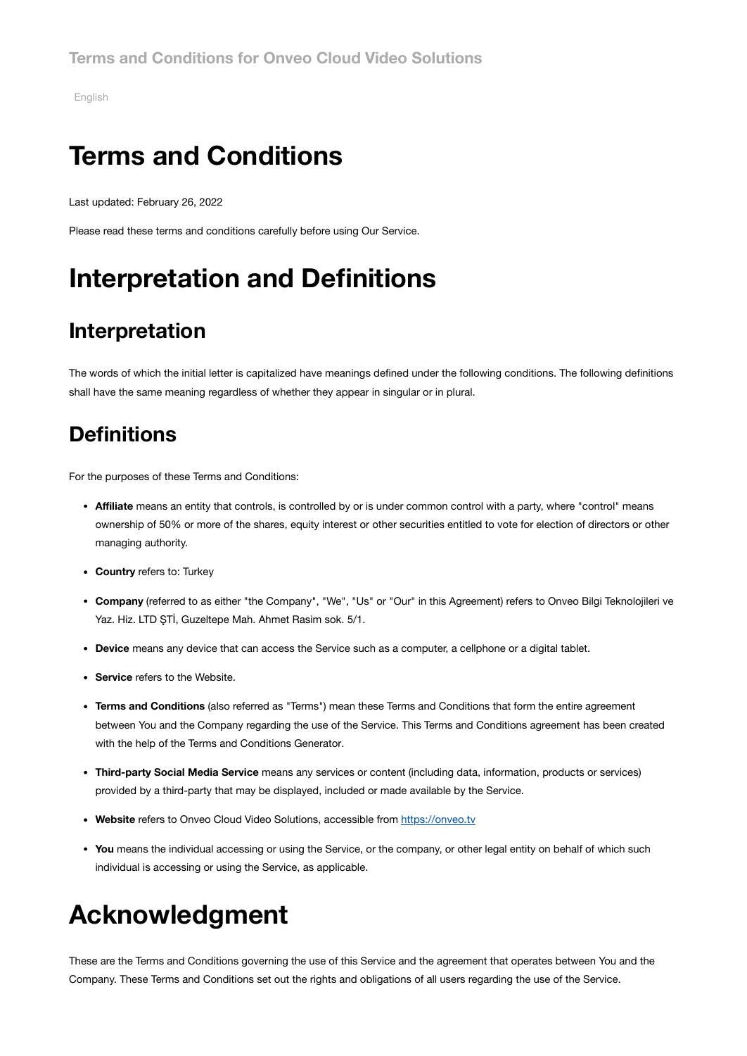[English](#page-0-0)

## <span id="page-0-0"></span>**Terms and Conditions**

Last updated: February 26, 2022

Please read these terms and conditions carefully before using Our Service.

# **Interpretation and Definitions**

#### **Interpretation**

The words of which the initial letter is capitalized have meanings defined under the following conditions. The following definitions shall have the same meaning regardless of whether they appear in singular or in plural.

#### **Definitions**

For the purposes of these Terms and Conditions:

- **Affiliate** means an entity that controls, is controlled by or is under common control with a party, where "control" means ownership of 50% or more of the shares, equity interest or other securities entitled to vote for election of directors or other managing authority.
- **Country** refers to: Turkey
- **Company** (referred to as either "the Company", "We", "Us" or "Our" in this Agreement) refers to Onveo Bilgi Teknolojileri ve Yaz. Hiz. LTD ŞTİ, Guzeltepe Mah. Ahmet Rasim sok. 5/1.
- **Device** means any device that can access the Service such as a computer, a cellphone or a digital tablet.
- **Service** refers to the Website.
- **Terms and Conditions** (also referred as "Terms") mean these Terms and Conditions that form the entire agreement between You and the Company regarding the use of the Service. This Terms and Conditions agreement has been created with the help of the Terms and [Conditions Generator](https://www.termsfeed.com/terms-conditions-generator/).
- **Third-party Social Media Service** means any services or content (including data, information, products or services) provided by a third-party that may be displayed, included or made available by the Service.
- Website refers to Onveo Cloud Video Solutions, accessible from [https://onveo.tv](https://onveo.tv/)
- **You** means the individual accessing or using the Service, or the company, or other legal entity on behalf of which such individual is accessing or using the Service, as applicable.

## **Acknowledgment**

These are the Terms and Conditions governing the use of this Service and the agreement that operates between You and the Company. These Terms and Conditions set out the rights and obligations of all users regarding the use of the Service.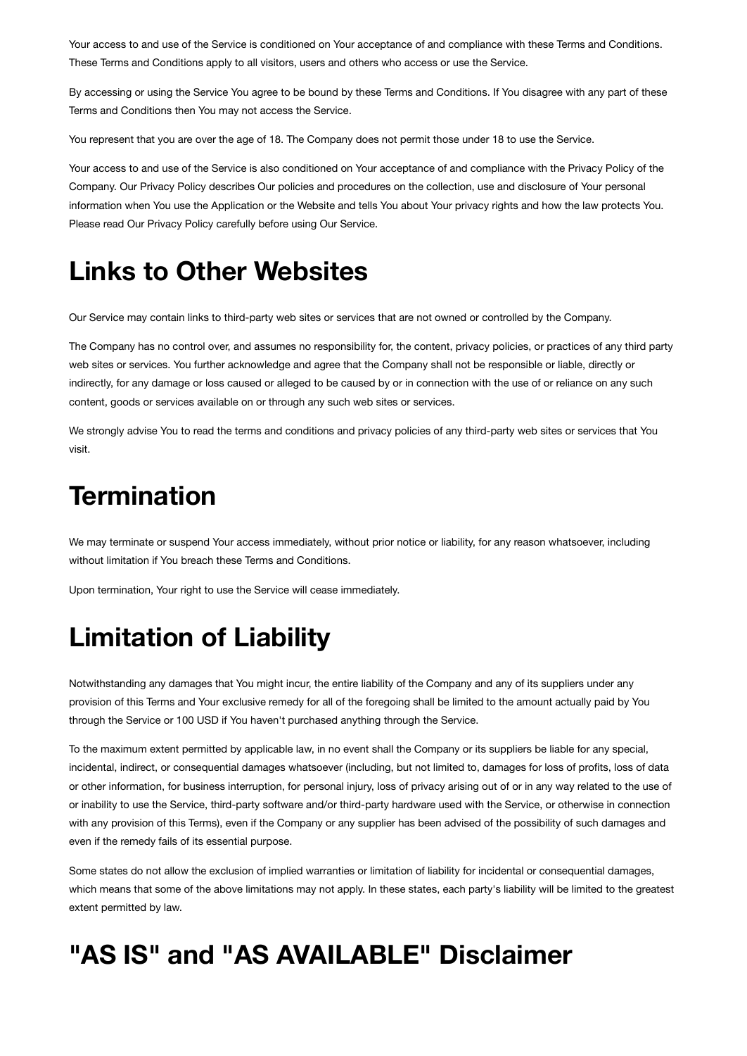Your access to and use of the Service is conditioned on Your acceptance of and compliance with these Terms and Conditions. These Terms and Conditions apply to all visitors, users and others who access or use the Service.

By accessing or using the Service You agree to be bound by these Terms and Conditions. If You disagree with any part of these Terms and Conditions then You may not access the Service.

You represent that you are over the age of 18. The Company does not permit those under 18 to use the Service.

Your access to and use of the Service is also conditioned on Your acceptance of and compliance with the Privacy Policy of the Company. Our Privacy Policy describes Our policies and procedures on the collection, use and disclosure of Your personal information when You use the Application or the Website and tells You about Your privacy rights and how the law protects You. Please read Our Privacy Policy carefully before using Our Service.

### **Links to Other Websites**

Our Service may contain links to third-party web sites or services that are not owned or controlled by the Company.

The Company has no control over, and assumes no responsibility for, the content, privacy policies, or practices of any third party web sites or services. You further acknowledge and agree that the Company shall not be responsible or liable, directly or indirectly, for any damage or loss caused or alleged to be caused by or in connection with the use of or reliance on any such content, goods or services available on or through any such web sites or services.

We strongly advise You to read the terms and conditions and privacy policies of any third-party web sites or services that You visit.

#### **Termination**

We may terminate or suspend Your access immediately, without prior notice or liability, for any reason whatsoever, including without limitation if You breach these Terms and Conditions.

Upon termination, Your right to use the Service will cease immediately.

#### **Limitation of Liability**

Notwithstanding any damages that You might incur, the entire liability of the Company and any of its suppliers under any provision of this Terms and Your exclusive remedy for all of the foregoing shall be limited to the amount actually paid by You through the Service or 100 USD if You haven't purchased anything through the Service.

To the maximum extent permitted by applicable law, in no event shall the Company or its suppliers be liable for any special, incidental, indirect, or consequential damages whatsoever (including, but not limited to, damages for loss of profits, loss of data or other information, for business interruption, for personal injury, loss of privacy arising out of or in any way related to the use of or inability to use the Service, third-party software and/or third-party hardware used with the Service, or otherwise in connection with any provision of this Terms), even if the Company or any supplier has been advised of the possibility of such damages and even if the remedy fails of its essential purpose.

Some states do not allow the exclusion of implied warranties or limitation of liability for incidental or consequential damages, which means that some of the above limitations may not apply. In these states, each party's liability will be limited to the greatest extent permitted by law.

## **"AS IS" and "AS AVAILABLE" Disclaimer**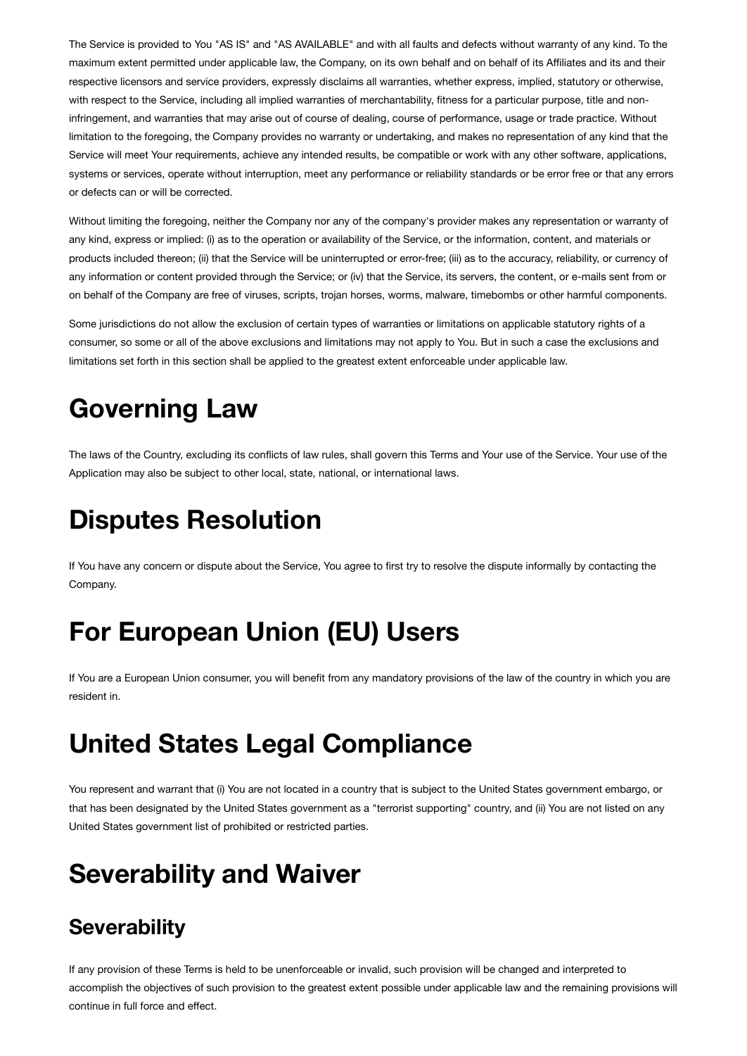The Service is provided to You "AS IS" and "AS AVAILABLE" and with all faults and defects without warranty of any kind. To the maximum extent permitted under applicable law, the Company, on its own behalf and on behalf of its Affiliates and its and their respective licensors and service providers, expressly disclaims all warranties, whether express, implied, statutory or otherwise, with respect to the Service, including all implied warranties of merchantability, fitness for a particular purpose, title and noninfringement, and warranties that may arise out of course of dealing, course of performance, usage or trade practice. Without limitation to the foregoing, the Company provides no warranty or undertaking, and makes no representation of any kind that the Service will meet Your requirements, achieve any intended results, be compatible or work with any other software, applications, systems or services, operate without interruption, meet any performance or reliability standards or be error free or that any errors or defects can or will be corrected.

Without limiting the foregoing, neither the Company nor any of the company's provider makes any representation or warranty of any kind, express or implied: (i) as to the operation or availability of the Service, or the information, content, and materials or products included thereon; (ii) that the Service will be uninterrupted or error-free; (iii) as to the accuracy, reliability, or currency of any information or content provided through the Service; or (iv) that the Service, its servers, the content, or e-mails sent from or on behalf of the Company are free of viruses, scripts, trojan horses, worms, malware, timebombs or other harmful components.

Some jurisdictions do not allow the exclusion of certain types of warranties or limitations on applicable statutory rights of a consumer, so some or all of the above exclusions and limitations may not apply to You. But in such a case the exclusions and limitations set forth in this section shall be applied to the greatest extent enforceable under applicable law.

### **Governing Law**

The laws of the Country, excluding its conflicts of law rules, shall govern this Terms and Your use of the Service. Your use of the Application may also be subject to other local, state, national, or international laws.

#### **Disputes Resolution**

If You have any concern or dispute about the Service, You agree to first try to resolve the dispute informally by contacting the Company.

## **For European Union (EU) Users**

If You are a European Union consumer, you will benefit from any mandatory provisions of the law of the country in which you are resident in.

#### **United States Legal Compliance**

You represent and warrant that (i) You are not located in a country that is subject to the United States government embargo, or that has been designated by the United States government as a "terrorist supporting" country, and (ii) You are not listed on any United States government list of prohibited or restricted parties.

## **Severability and Waiver**

#### **Severability**

If any provision of these Terms is held to be unenforceable or invalid, such provision will be changed and interpreted to accomplish the objectives of such provision to the greatest extent possible under applicable law and the remaining provisions will continue in full force and effect.